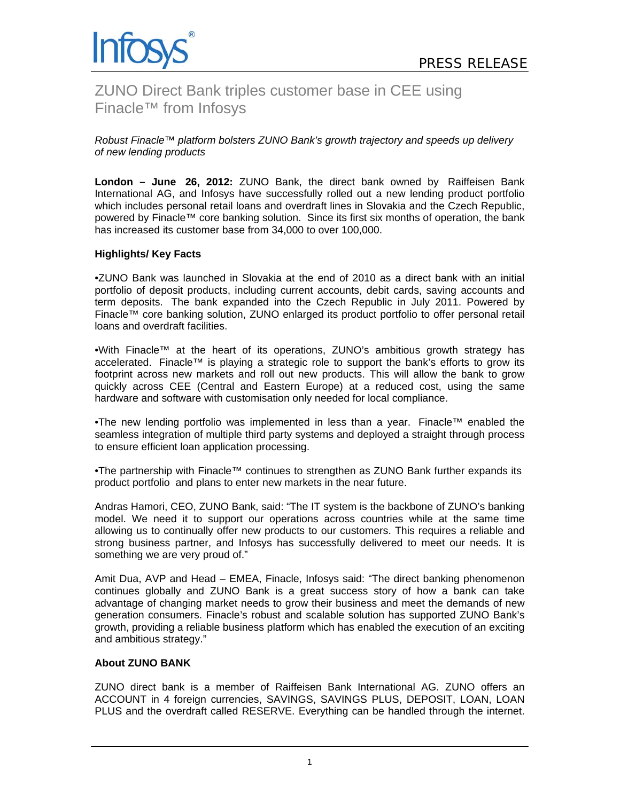

ZUNO Direct Bank triples customer base in CEE using Finacle™ from Infosys

*Robust Finacle™ platform bolsters ZUNO Bank's growth trajectory and speeds up delivery of new lending products* 

**London – June 26, 2012:** ZUNO Bank, the direct bank owned by Raiffeisen Bank International AG, and Infosys have successfully rolled out a new lending product portfolio which includes personal retail loans and overdraft lines in Slovakia and the Czech Republic, powered by Finacle™ core banking solution. Since its first six months of operation, the bank has increased its customer base from 34,000 to over 100,000.

# **Highlights/ Key Facts**

•ZUNO Bank was launched in Slovakia at the end of 2010 as a direct bank with an initial portfolio of deposit products, including current accounts, debit cards, saving accounts and term deposits. The bank expanded into the Czech Republic in July 2011. Powered by Finacle™ core banking solution, ZUNO enlarged its product portfolio to offer personal retail loans and overdraft facilities.

•With Finacle™ at the heart of its operations, ZUNO's ambitious growth strategy has accelerated. Finacle™ is playing a strategic role to support the bank's efforts to grow its footprint across new markets and roll out new products. This will allow the bank to grow quickly across CEE (Central and Eastern Europe) at a reduced cost, using the same hardware and software with customisation only needed for local compliance.

•The new lending portfolio was implemented in less than a year. Finacle™ enabled the seamless integration of multiple third party systems and deployed a straight through process to ensure efficient loan application processing.

•The partnership with Finacle™ continues to strengthen as ZUNO Bank further expands its product portfolio and plans to enter new markets in the near future.

Andras Hamori, CEO, ZUNO Bank, said: "The IT system is the backbone of ZUNO's banking model. We need it to support our operations across countries while at the same time allowing us to continually offer new products to our customers. This requires a reliable and strong business partner, and Infosys has successfully delivered to meet our needs. It is something we are very proud of."

Amit Dua, AVP and Head – EMEA, Finacle, Infosys said: "The direct banking phenomenon continues globally and ZUNO Bank is a great success story of how a bank can take advantage of changing market needs to grow their business and meet the demands of new generation consumers. Finacle's robust and scalable solution has supported ZUNO Bank's growth, providing a reliable business platform which has enabled the execution of an exciting and ambitious strategy."

### **About ZUNO BANK**

ZUNO direct bank is a member of Raiffeisen Bank International AG. ZUNO offers an ACCOUNT in 4 foreign currencies, SAVINGS, SAVINGS PLUS, DEPOSIT, LOAN, LOAN PLUS and the overdraft called RESERVE. Everything can be handled through the internet.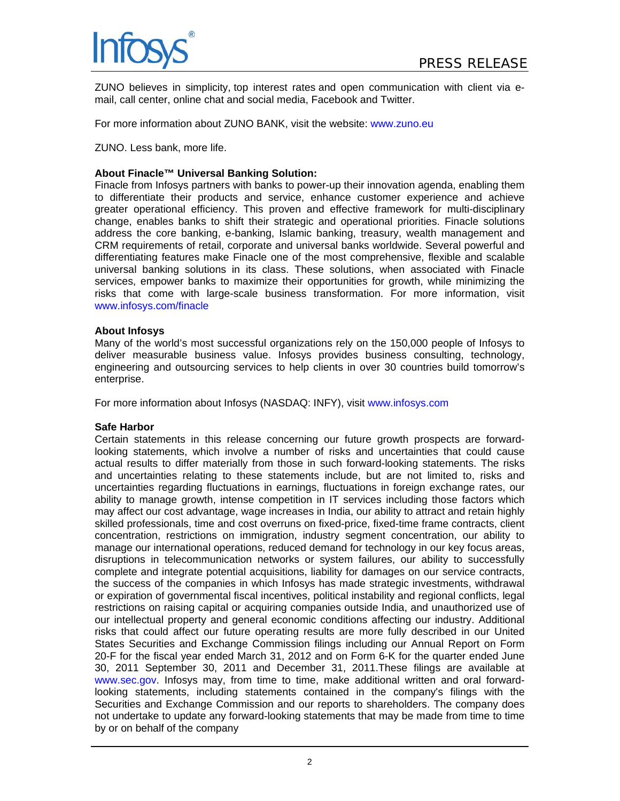

ZUNO believes in simplicity, top interest rates and open communication with client via email, call center, online chat and social media, Facebook and Twitter.

For more information about ZUNO BANK, visit the website: www.zuno.eu

ZUNO. Less bank, more life.

## **About Finacle™ Universal Banking Solution:**

Finacle from Infosys partners with banks to power-up their innovation agenda, enabling them to differentiate their products and service, enhance customer experience and achieve greater operational efficiency. This proven and effective framework for multi-disciplinary change, enables banks to shift their strategic and operational priorities. Finacle solutions address the core banking, e-banking, Islamic banking, treasury, wealth management and CRM requirements of retail, corporate and universal banks worldwide. Several powerful and differentiating features make Finacle one of the most comprehensive, flexible and scalable universal banking solutions in its class. These solutions, when associated with Finacle services, empower banks to maximize their opportunities for growth, while minimizing the risks that come with large-scale business transformation. For more information, visit www.infosys.com/finacle

### **About Infosys**

Many of the world's most successful organizations rely on the 150,000 people of Infosys to deliver measurable business value. Infosys provides business consulting, technology, engineering and outsourcing services to help clients in over 30 countries build tomorrow's enterprise.

For more information about Infosys (NASDAQ: INFY), visit www.infosys.com

### **Safe Harbor**

Certain statements in this release concerning our future growth prospects are forwardlooking statements, which involve a number of risks and uncertainties that could cause actual results to differ materially from those in such forward-looking statements. The risks and uncertainties relating to these statements include, but are not limited to, risks and uncertainties regarding fluctuations in earnings, fluctuations in foreign exchange rates, our ability to manage growth, intense competition in IT services including those factors which may affect our cost advantage, wage increases in India, our ability to attract and retain highly skilled professionals, time and cost overruns on fixed-price, fixed-time frame contracts, client concentration, restrictions on immigration, industry segment concentration, our ability to manage our international operations, reduced demand for technology in our key focus areas, disruptions in telecommunication networks or system failures, our ability to successfully complete and integrate potential acquisitions, liability for damages on our service contracts, the success of the companies in which Infosys has made strategic investments, withdrawal or expiration of governmental fiscal incentives, political instability and regional conflicts, legal restrictions on raising capital or acquiring companies outside India, and unauthorized use of our intellectual property and general economic conditions affecting our industry. Additional risks that could affect our future operating results are more fully described in our United States Securities and Exchange Commission filings including our Annual Report on Form 20-F for the fiscal year ended March 31, 2012 and on Form 6-K for the quarter ended June 30, 2011 September 30, 2011 and December 31, 2011.These filings are available at www.sec.gov. Infosys may, from time to time, make additional written and oral forwardlooking statements, including statements contained in the company's filings with the Securities and Exchange Commission and our reports to shareholders. The company does not undertake to update any forward-looking statements that may be made from time to time by or on behalf of the company